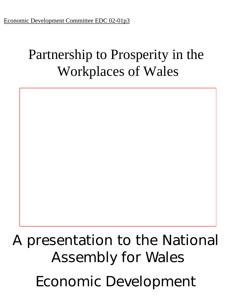# Partnership to Prosperity in the Workplaces of Wales

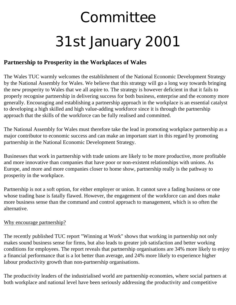# **Committee** 31st January 2001

## **Partnership to Prosperity in the Workplaces of Wales**

The Wales TUC warmly welcomes the establishment of the National Economic Development Strategy by the National Assembly for Wales. We believe that this strategy will go a long way towards bringing the new prosperity to Wales that we all aspire to. The strategy is however deficient in that it fails to properly recognise partnership in delivering success for both business, enterprise and the economy more generally. Encouraging and establishing a partnership approach in the workplace is an essential catalyst to developing a high skilled and high value-adding workforce since it is through the partnership approach that the skills of the workforce can be fully realised and committed.

The National Assembly for Wales must therefore take the lead in promoting workplace partnership as a major contributor to economic success and can make an important start in this regard by promoting partnership in the National Economic Development Strategy.

Businesses that work in partnership with trade unions are likely to be more productive, more profitable and more innovative than companies that have poor or non-existent relationships with unions. As Europe, and more and more companies closer to home show, partnership really is the pathway to prosperity in the workplace.

Partnership is not a soft option, for either employer or union. It cannot save a fading business or one whose trading base is fatally flawed. However, the engagement of the workforce can and does make more business sense than the command and control approach to management, which is so often the alternative.

#### Why encourage partnership?

The recently published TUC report "Winning at Work" shows that working in partnership not only makes sound business sense for firms, but also leads to greater job satisfaction and better working conditions for employees. The report reveals that partnership organisations are 34% more likely to enjoy a financial performance that is a lot better than average, and 24% more likely to experience higher labour productivity growth than non-partnership organisations.

The productivity leaders of the industrialised world are partnership economies, where social partners at both workplace and national level have been seriously addressing the productivity and competitive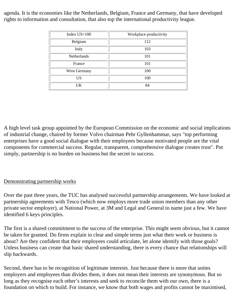agenda. It is the economies like the Netherlands, Belgium, France and Germany, that have developed rights to information and consultation, that also top the international productivity league.

| Index $US=100$ | Workplace productivity |
|----------------|------------------------|
| Belgium        | 112                    |
| Italy          | 103                    |
| Netherlands    | 101                    |
| France         | 101                    |
| West Germany   | 100                    |
| US             | 100                    |
| UK             | 84                     |

A high level task group appointed by the European Commission on the economic and social implications of industrial change, chaired by former Volvo chairman Pehr Gyllenhammar, says "top performing enterprises have a good social dialogue with their employees because motivated people are the vital components for commercial success. Regular, transparent, comprehensive dialogue creates trust". Put simply, partnership is no burden on business but the secret to success.

### Demonstrating partnership works

Over the past three years, the TUC has analysed successful partnership arrangements. We have looked at partnership agreements with Tesco (which now employs more trade union members than any other private sector employer), at National Power, at 3M and Legal and General to name just a few. We have identified 6 keys principles.

The first is a shared commitment to the success of the enterprise. This might seem obvious, but it cannot be taken for granted. Do firms explain in clear and simple terms just what their work or business is about? Are they confident that their employees could articulate, let alone identify with those goals? Unless business can create that basic shared understanding, there is every chance that relationships will slip backwards.

Second, there has to be recognition of legitimate interests. Just because there is more that unites employers and employees than divides them, it does not mean their interests are synonymous. But so long as they recognise each other's interests and seek to reconcile them with our own, there is a foundation on which to build. For instance, we know that both wages and profits cannot be maximised,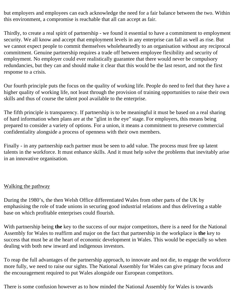but employers and employees can each acknowledge the need for a fair balance between the two. Within this environment, a compromise is reachable that all can accept as fair.

Thirdly, to create a real spirit of partnership - we found it essential to have a commitment to employment security. We all know and accept that employment levels in any enterprise can fall as well as rise. But we cannot expect people to commit themselves wholeheartedly to an organisation without any reciprocal commitment. Genuine partnership requires a trade off between employee flexibility and security of employment. No employer could ever realistically guarantee that there would never be compulsory redundancies, but they can and should make it clear that this would be the last resort, and not the first response to a crisis.

Our fourth principle puts the focus on the quality of working life. People do need to feel that they have a higher quality of working life, not least through the provision of training opportunities to raise their own skills and thus of course the talent pool available to the enterprise.

The fifth principle is transparency. If partnership is to be meaningful it must be based on a real sharing of hard information when plans are at the "glint in the eye" stage. For employers, this means being prepared to consider a variety of options. For a union, it means a commitment to preserve commercial confidentiality alongside a process of openness with their own members.

Finally - in any partnership each partner must be seen to add value. The process must free up latent talents in the workforce. It must enhance skills. And it must help solve the problems that inevitably arise in an innovative organisation.

#### Walking the pathway

During the 1980's, the then Welsh Office differentiated Wales from other parts of the UK by emphasising the role of trade unions in securing good industrial relations and thus delivering a stable base on which profitable enterprises could flourish.

With partnership being **the** key to the success of our major competitors, there is a need for the National Assembly for Wales to reaffirm and major on the fact that partnership in the workplace is **the** key to success that must be at the heart of economic development in Wales. This would be especially so when dealing with both new inward and indigenous investors.

To reap the full advantages of the partnership approach, to innovate and not die, to engage the workforce more fully, we need to raise our sights. The National Assembly for Wales can give primary focus and the encouragement required to put Wales alongside our European competitors.

There is some confusion however as to how minded the National Assembly for Wales is towards